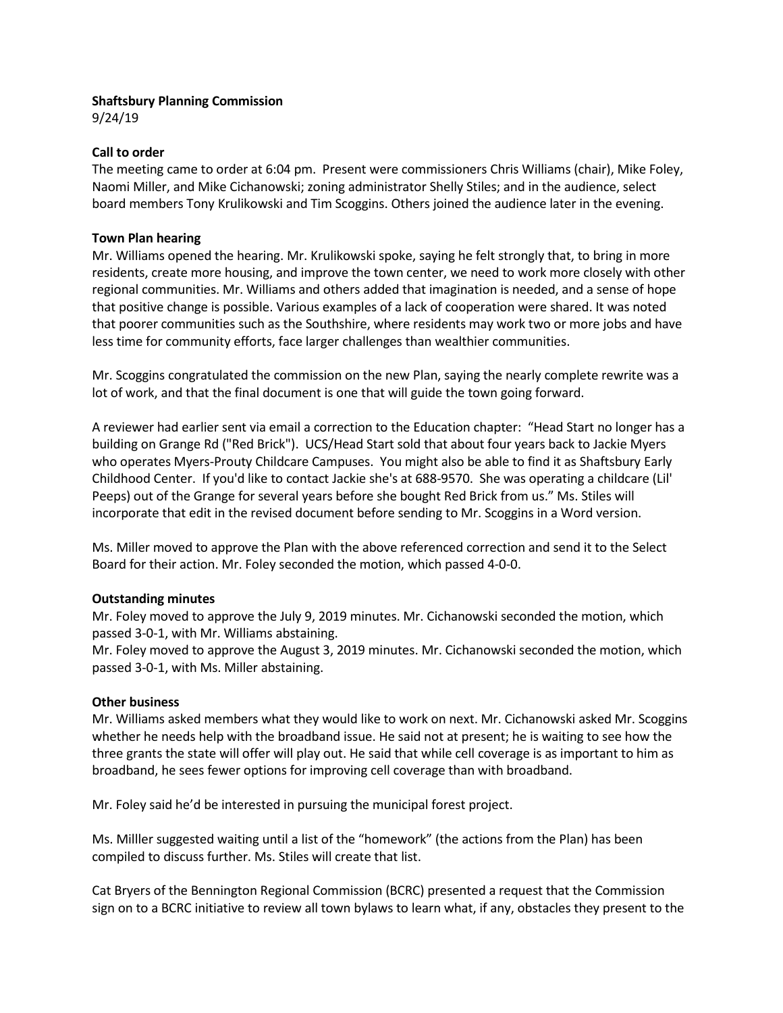# Shaftsbury Planning Commission

9/24/19

## Call to order

The meeting came to order at 6:04 pm. Present were commissioners Chris Williams (chair), Mike Foley, Naomi Miller, and Mike Cichanowski; zoning administrator Shelly Stiles; and in the audience, select board members Tony Krulikowski and Tim Scoggins. Others joined the audience later in the evening.

## Town Plan hearing

Mr. Williams opened the hearing. Mr. Krulikowski spoke, saying he felt strongly that, to bring in more residents, create more housing, and improve the town center, we need to work more closely with other regional communities. Mr. Williams and others added that imagination is needed, and a sense of hope that positive change is possible. Various examples of a lack of cooperation were shared. It was noted that poorer communities such as the Southshire, where residents may work two or more jobs and have less time for community efforts, face larger challenges than wealthier communities.

Mr. Scoggins congratulated the commission on the new Plan, saying the nearly complete rewrite was a lot of work, and that the final document is one that will guide the town going forward.

A reviewer had earlier sent via email a correction to the Education chapter: "Head Start no longer has a building on Grange Rd ("Red Brick"). UCS/Head Start sold that about four years back to Jackie Myers who operates Myers-Prouty Childcare Campuses. You might also be able to find it as Shaftsbury Early Childhood Center. If you'd like to contact Jackie she's at 688-9570. She was operating a childcare (Lil' Peeps) out of the Grange for several years before she bought Red Brick from us." Ms. Stiles will incorporate that edit in the revised document before sending to Mr. Scoggins in a Word version.

Ms. Miller moved to approve the Plan with the above referenced correction and send it to the Select Board for their action. Mr. Foley seconded the motion, which passed 4-0-0.

# Outstanding minutes

Mr. Foley moved to approve the July 9, 2019 minutes. Mr. Cichanowski seconded the motion, which passed 3-0-1, with Mr. Williams abstaining.

Mr. Foley moved to approve the August 3, 2019 minutes. Mr. Cichanowski seconded the motion, which passed 3-0-1, with Ms. Miller abstaining.

### Other business

Mr. Williams asked members what they would like to work on next. Mr. Cichanowski asked Mr. Scoggins whether he needs help with the broadband issue. He said not at present; he is waiting to see how the three grants the state will offer will play out. He said that while cell coverage is as important to him as broadband, he sees fewer options for improving cell coverage than with broadband.

Mr. Foley said he'd be interested in pursuing the municipal forest project.

Ms. Milller suggested waiting until a list of the "homework" (the actions from the Plan) has been compiled to discuss further. Ms. Stiles will create that list.

Cat Bryers of the Bennington Regional Commission (BCRC) presented a request that the Commission sign on to a BCRC initiative to review all town bylaws to learn what, if any, obstacles they present to the